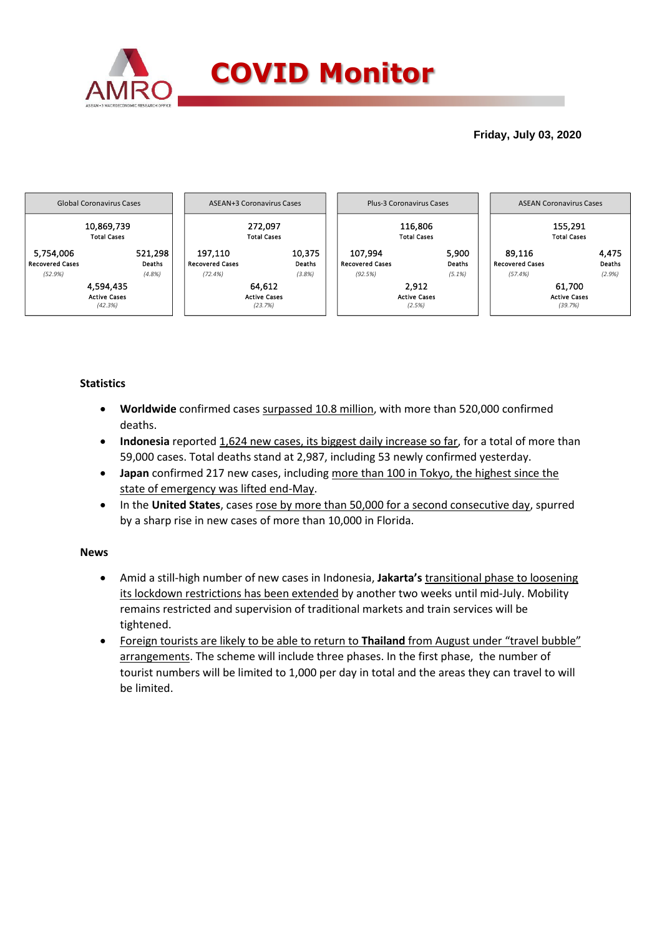

# **Friday, July 03, 2020**



# **Statistics**

- **Worldwide** confirmed cases surpassed 10.8 million, with more than 520,000 confirmed deaths.
- **Indonesia** reported 1,624 new cases, its biggest daily increase so far, for a total of more than 59,000 cases. Total deaths stand at 2,987, including 53 newly confirmed yesterday.
- **Japan** confirmed 217 new cases, including more than 100 in Tokyo, the highest since the state of emergency was lifted end-May.
- In the United States, cases rose by more than 50,000 for a second consecutive day, spurred by a sharp rise in new cases of more than 10,000 in Florida.

### **News**

- Amid a still-high number of new cases in Indonesia, Jakarta's transitional phase to loosening its lockdown restrictions has been extended by another two weeks until mid-July. Mobility remains restricted and supervision of traditional markets and train services will be tightened.
- Foreign tourists are likely to be able to return to **Thailand** from August under "travel bubble" arrangements. The scheme will include three phases. In the first phase, the number of tourist numbers will be limited to 1,000 per day in total and the areas they can travel to will be limited.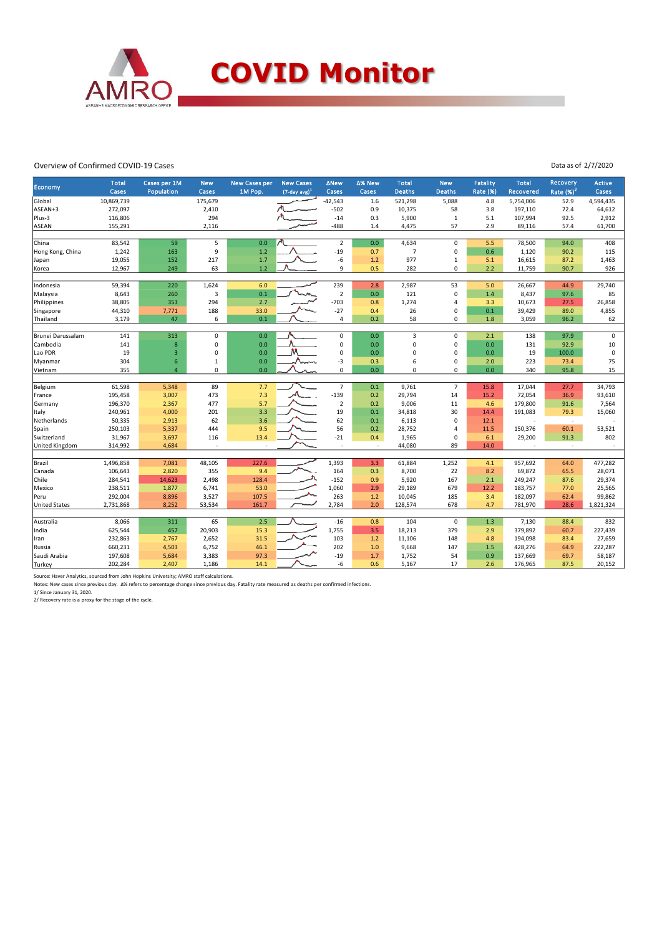

#### Overview of Confirmed COVID-19 Cases

Data as of 2/7/2020

|                       | <b>Total</b> | Cases per 1M            | <b>New</b>   | New Cases per | <b>New Cases</b>    | <b>ANew</b>                | ∆% New | <b>Total</b>   | <b>New</b>                 | <b>Fatality</b> | <b>Total</b>     | <b>Recovery</b>          | <b>Active</b> |
|-----------------------|--------------|-------------------------|--------------|---------------|---------------------|----------------------------|--------|----------------|----------------------------|-----------------|------------------|--------------------------|---------------|
| Economy               | Cases        | Population              | Cases        | 1M Pop.       | $(7$ -day avg $)^1$ | Cases                      | Cases  | <b>Deaths</b>  | <b>Deaths</b>              | <b>Rate (%)</b> | <b>Recovered</b> | Rate $(%)2$              | Cases         |
| Global                | 10,869,739   |                         | 175,679      |               |                     | $-42,543$                  | 1.6    | 521,298        | 5,088                      | 4.8             | 5,754,006        | 52.9                     | 4,594,435     |
| ASEAN+3               | 272,097      |                         | 2,410        |               |                     | $-502$                     | 0.9    | 10,375         | 58                         | 3.8             | 197,110          | 72.4                     | 64,612        |
| Plus-3                | 116,806      |                         | 294          |               |                     | $-14$                      | 0.3    | 5,900          | $\,1\,$                    | 5.1             | 107,994          | 92.5                     | 2,912         |
| ASEAN                 | 155,291      |                         | 2,116        |               |                     | $-488$                     | 1.4    | 4,475          | 57                         | 2.9             | 89,116           | 57.4                     | 61,700        |
| China                 | 83,542       | 59                      | 5            | 0.0           |                     | $\overline{2}$             | 0.0    | 4,634          | $\pmb{0}$                  | 5.5             | 78,500           | 94.0                     | 408           |
| Hong Kong, China      | 1,242        | 163                     | 9            | 1.2           |                     | $-19$                      | 0.7    | $\overline{7}$ | 0                          | 0.6             | 1,120            | 90.2                     | 115           |
| Japan                 | 19,055       | 152                     | 217          | 1.7           |                     | $-6$                       | 1.2    | 977            | $\mathbf{1}$               | 5.1             | 16,615           | 87.2                     | 1,463         |
| Korea                 | 12,967       | 249                     | 63           | 1.2           |                     | 9                          | 0.5    | 282            | $\Omega$                   | $2.2$           | 11,759           | 90.7                     | 926           |
|                       |              |                         |              |               |                     |                            |        |                |                            |                 |                  |                          |               |
| Indonesia             | 59,394       | 220                     | 1,624        | 6.0           |                     | 239                        | 2.8    | 2,987          | 53                         | 5.0             | 26,667           | 44.9                     | 29,740        |
| Malaysia              | 8,643        | 260                     | 3            | 0.1           |                     | $\overline{2}$             | 0.0    | 121            | $\mathbf 0$                | 1.4             | 8,437            | 97.6                     | 85            |
| Philippines           | 38,805       | 353                     | 294          | 2.7           |                     | $-703$                     | 0.8    | 1,274          | $\overline{4}$             | 3.3             | 10,673           | 27.5                     | 26,858        |
| Singapore             | 44,310       | 7,771                   | 188          | 33.0          |                     | $-27$                      | 0.4    | 26             | $\mathbf 0$                | 0.1             | 39,429           | 89.0                     | 4,855         |
| Thailand              | 3,179        | 47                      | 6            | 0.1           |                     | $\overline{4}$             | 0.2    | 58             | $\Omega$                   | $1.8\,$         | 3,059            | 96.2                     | 62            |
|                       |              |                         |              |               |                     |                            |        |                |                            |                 |                  |                          |               |
| Brunei Darussalam     | 141          | 313                     | 0            | 0.0           |                     | 0                          | 0.0    | 3              | $\mathsf 0$                | 2.1             | 138              | 97.9                     | $\mathsf 0$   |
| Cambodia              | 141          | $\bf8$                  | $\Omega$     | 0.0           |                     | $\mathbf 0$<br>$\mathbf 0$ | 0.0    | $\mathbf 0$    | $\mathbf 0$<br>$\mathbf 0$ | 0.0             | 131              | 92.9                     | 10            |
| Lao PDR               | 19           | $\overline{\mathbf{3}}$ | $\Omega$     | 0.0           |                     |                            | 0.0    | 0              |                            | 0.0             | 19               | 100.0                    | $\mathsf 0$   |
| Myanmar               | 304          | 6                       | $\mathbf{1}$ | 0.0<br>0.0    | Num                 | $-3$<br>$\mathbf 0$        | 0.3    | 6              | $\mathbf 0$<br>$\Omega$    | 2.0             | 223              | 73.4                     | 75<br>15      |
| Vietnam               | 355          | $\overline{4}$          | 0            |               |                     |                            | 0.0    | $\mathbf 0$    |                            | 0.0             | 340              | 95.8                     |               |
| Belgium               | 61,598       | 5,348                   | 89           | 7.7           |                     | $\overline{7}$             | 0.1    | 9,761          | $\overline{7}$             | 15.8            | 17,044           | 27.7                     | 34,793        |
| France                | 195,458      | 3,007                   | 473          | 7.3           |                     | $-139$                     | 0.2    | 29,794         | 14                         | 15.2            | 72,054           | 36.9                     | 93,610        |
| Germany               | 196,370      | 2,367                   | 477          | 5.7           |                     | $\mathbf 2$                | 0.2    | 9,006          | 11                         | 4.6             | 179,800          | 91.6                     | 7,564         |
| Italy                 | 240,961      | 4,000                   | 201          | 3.3           |                     | 19                         | 0.1    | 34,818         | 30                         | 14.4            | 191,083          | 79.3                     | 15,060        |
| Netherlands           | 50,335       | 2,913                   | 62           | 3.6           |                     | 62                         | 0.1    | 6,113          | $\mathbf 0$                | 12.1            |                  | $\overline{\phantom{a}}$ |               |
| Spain                 | 250,103      | 5,337                   | 444          | 9.5           |                     | 56                         | 0.2    | 28,752         | $\overline{a}$             | 11.5            | 150,376          | 60.1                     | 53,521        |
| Switzerland           | 31,967       | 3,697                   | 116          | 13.4          |                     | $-21$                      | 0.4    | 1,965          | $\mathbf 0$                | 6.1             | 29,200           | 91.3                     | 802           |
| <b>United Kingdom</b> | 314,992      | 4,684                   | Ĭ.           |               |                     | $\sim$                     | $\sim$ | 44,080         | 89                         | 14.0            |                  |                          |               |
|                       |              |                         |              |               |                     |                            |        |                |                            |                 |                  |                          |               |
| Brazil                | 1,496,858    | 7,081                   | 48,105       | 227.6         |                     | 1,393                      | 3.3    | 61,884         | 1,252                      | 4.1             | 957,692          | 64.0                     | 477,282       |
| Canada                | 106,643      | 2,820                   | 355          | 9.4           |                     | 164                        | 0.3    | 8,700          | 22                         | 8.2             | 69,872           | 65.5                     | 28,071        |
| Chile                 | 284,541      | 14,623                  | 2,498        | 128.4         |                     | $-152$                     | 0.9    | 5,920          | 167                        | 2.1             | 249,247          | 87.6                     | 29,374        |
| Mexico                | 238,511      | 1,877                   | 6,741        | 53.0          |                     | 1,060                      | 2.9    | 29,189         | 679                        | 12.2            | 183,757          | 77.0                     | 25,565        |
| Peru                  | 292,004      | 8,896                   | 3,527        | 107.5         |                     | 263                        | 1.2    | 10,045         | 185                        | 3.4             | 182,097          | 62.4                     | 99,862        |
| <b>United States</b>  | 2,731,868    | 8,252                   | 53,534       | 161.7         |                     | 2,784                      | 2.0    | 128,574        | 678                        | 4.7             | 781,970          | 28.6                     | 1,821,324     |
|                       |              |                         |              |               |                     |                            |        |                |                            |                 |                  |                          |               |
| Australia             | 8,066        | 311                     | 65           | 2.5           |                     | $-16$                      | 0.8    | 104            | $\pmb{0}$                  | 1.3             | 7,130            | 88.4                     | 832           |
| India                 | 625,544      | 457                     | 20,903       | 15.3          |                     | 1,755                      | 3.5    | 18,213         | 379                        | 2.9             | 379,892          | 60.7                     | 227,439       |
| Iran                  | 232,863      | 2,767                   | 2,652        | 31.5          |                     | 103                        | 1.2    | 11,106         | 148                        | 4.8             | 194,098          | 83.4                     | 27,659        |
| Russia                | 660,231      | 4,503                   | 6,752        | 46.1          |                     | 202                        | 1.0    | 9,668          | 147                        | 1.5             | 428,276          | 64.9                     | 222,287       |
| Saudi Arabia          | 197,608      | 5,684                   | 3,383        | 97.3          |                     | $-19$                      | 1.7    | 1,752          | 54                         | 0.9             | 137,669          | 69.7                     | 58,187        |
| Turkey                | 202,284      | 2,407                   | 1,186        | 14.1          |                     | -6                         | 0.6    | 5,167          | 17                         | 2.6             | 176,965          | 87.5                     | 20,152        |

Source: Haver Analytics, sourced from John Hopkins University; AMRO staff calculations.<br>Notes: New cases since previous day. ∆% refers to percentage change since previous day. Fatality rate measured as deaths per confirmed